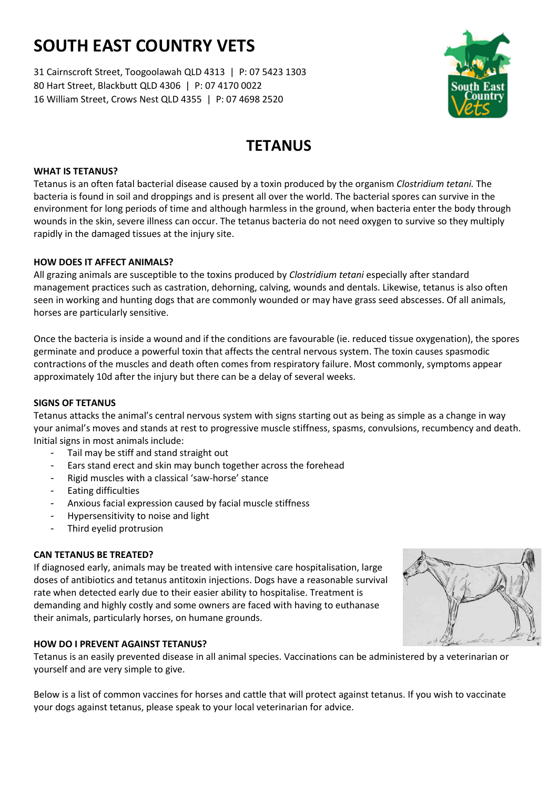# **SOUTH EAST COUNTRY VETS**

31 Cairnscroft Street, Toogoolawah QLD 4313 | P: 07 5423 1303 80 Hart Street, Blackbutt QLD 4306 | P: 07 4170 0022 16 William Street, Crows Nest QLD 4355 | P: 07 4698 2520



## **TETANUS**

#### **WHAT IS TETANUS?**

Tetanus is an often fatal bacterial disease caused by a toxin produced by the organism *Clostridium tetani.* The bacteria is found in soil and droppings and is present all over the world. The bacterial spores can survive in the environment for long periods of time and although harmless in the ground, when bacteria enter the body through wounds in the skin, severe illness can occur. The tetanus bacteria do not need oxygen to survive so they multiply rapidly in the damaged tissues at the injury site.

#### **HOW DOES IT AFFECT ANIMALS?**

All grazing animals are susceptible to the toxins produced by *Clostridium tetani* especially after standard management practices such as castration, dehorning, calving, wounds and dentals. Likewise, tetanus is also often seen in working and hunting dogs that are commonly wounded or may have grass seed abscesses. Of all animals, horses are particularly sensitive.

Once the bacteria is inside a wound and if the conditions are favourable (ie. reduced tissue oxygenation), the spores germinate and produce a powerful toxin that affects the central nervous system. The toxin causes spasmodic contractions of the muscles and death often comes from respiratory failure. Most commonly, symptoms appear approximately 10d after the injury but there can be a delay of several weeks.

#### **SIGNS OF TETANUS**

Tetanus attacks the animal's central nervous system with signs starting out as being as simple as a change in way your animal's moves and stands at rest to progressive muscle stiffness, spasms, convulsions, recumbency and death. Initial signs in most animals include:

- Tail may be stiff and stand straight out
- Ears stand erect and skin may bunch together across the forehead
- Rigid muscles with a classical 'saw-horse' stance
- Eating difficulties
- Anxious facial expression caused by facial muscle stiffness
- Hypersensitivity to noise and light
- Third eyelid protrusion

#### **CAN TETANUS BE TREATED?**

If diagnosed early, animals may be treated with intensive care hospitalisation, large doses of antibiotics and tetanus antitoxin injections. Dogs have a reasonable survival rate when detected early due to their easier ability to hospitalise. Treatment is demanding and highly costly and some owners are faced with having to euthanase their animals, particularly horses, on humane grounds.

#### **HOW DO I PREVENT AGAINST TETANUS?**

Tetanus is an easily prevented disease in all animal species. Vaccinations can be administered by a veterinarian or yourself and are very simple to give.

Below is a list of common vaccines for horses and cattle that will protect against tetanus. If you wish to vaccinate your dogs against tetanus, please speak to your local veterinarian for advice.